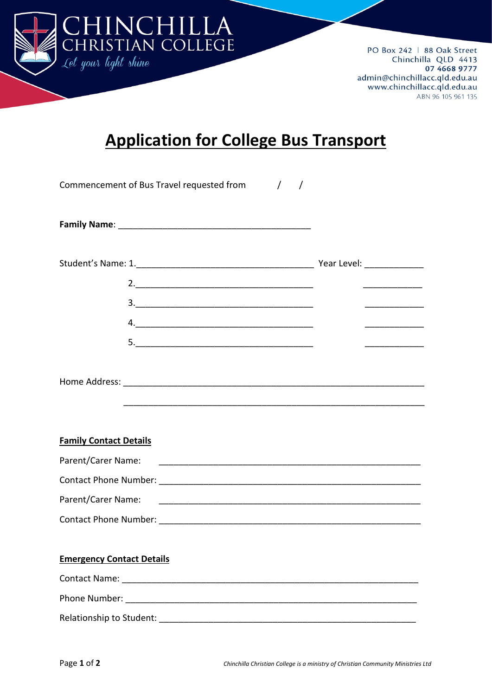

PO Box 242 | 88 Oak Street Chinchilla QLD 4413 07 4668 9777 admin@chinchillacc.qld.edu.au www.chinchillacc.qld.edu.au ABN 96 105 961 135

## **Application for College Bus Transport**

| Commencement of Bus Travel requested from / / |                                 |
|-----------------------------------------------|---------------------------------|
|                                               |                                 |
|                                               |                                 |
|                                               |                                 |
|                                               |                                 |
| 4.                                            |                                 |
|                                               | <u>________________________</u> |
|                                               |                                 |
| <b>Family Contact Details</b>                 |                                 |
| Parent/Carer Name:                            |                                 |
|                                               |                                 |
| Parent/Carer Name:                            |                                 |
|                                               |                                 |
|                                               |                                 |
| <b>Emergency Contact Details</b>              |                                 |
|                                               |                                 |
|                                               |                                 |
|                                               |                                 |